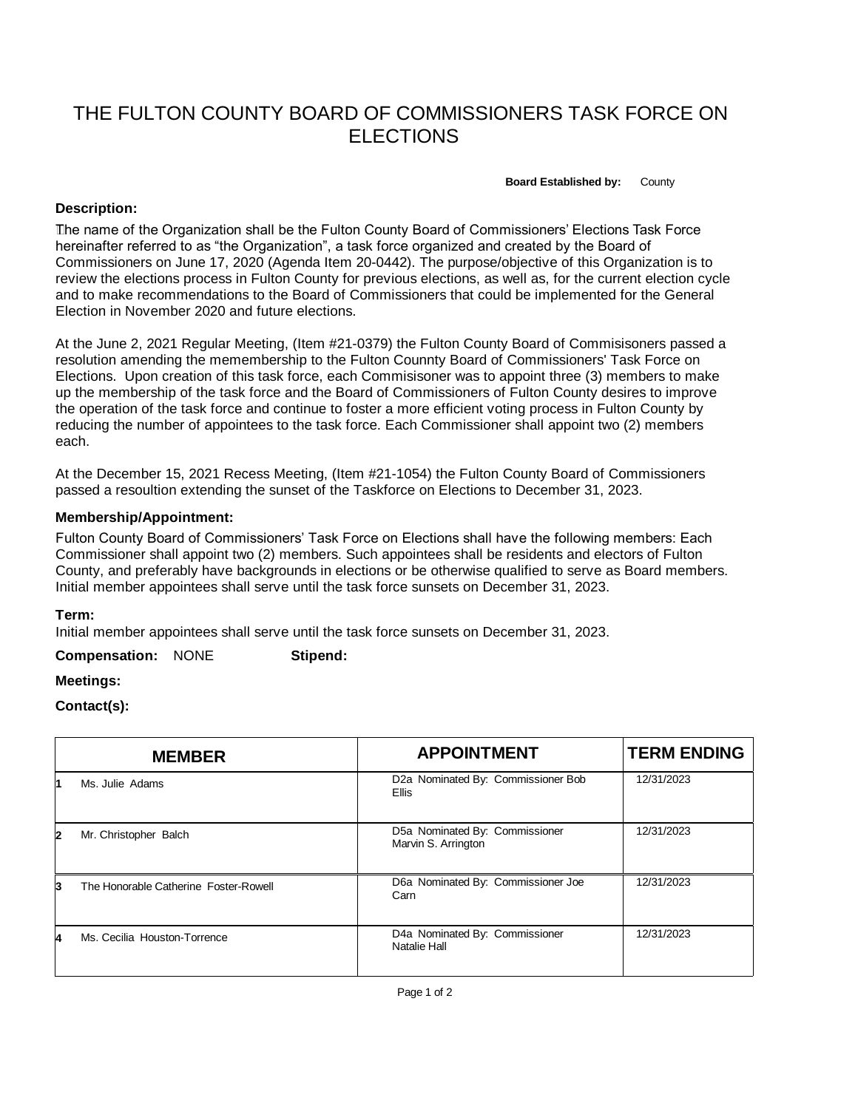# THE FULTON COUNTY BOARD OF COMMISSIONERS TASK FORCE ON ELECTIONS

**Board Established by:** County

## **Description:**

 The name of the Organization shall be the Fulton County Board of Commissioners' Elections Task Force hereinafter referred to as "the Organization", a task force organized and created by the Board of Commissioners on June 17, 2020 (Agenda Item 20-0442). The purpose/objective of this Organization is to review the elections process in Fulton County for previous elections, as well as, for the current election cycle and to make recommendations to the Board of Commissioners that could be implemented for the General Election in November 2020 and future elections.

At the June 2, 2021 Regular Meeting, (Item #21-0379) the Fulton County Board of Commisisoners passed a resolution amending the memembership to the Fulton Counnty Board of Commissioners' Task Force on Elections. Upon creation of this task force, each Commisisoner was to appoint three (3) members to make up the membership of the task force and the Board of Commissioners of Fulton County desires to improve the operation of the task force and continue to foster a more efficient voting process in Fulton County by reducing the number of appointees to the task force. Each Commissioner shall appoint two (2) members each.

At the December 15, 2021 Recess Meeting, (Item #21-1054) the Fulton County Board of Commissioners passed a resoultion extending the sunset of the Taskforce on Elections to December 31, 2023.

## **Membership/Appointment:**

Fulton County Board of Commissioners' Task Force on Elections shall have the following members: Each Commissioner shall appoint two (2) members. Such appointees shall be residents and electors of Fulton County, and preferably have backgrounds in elections or be otherwise qualified to serve as Board members. Initial member appointees shall serve until the task force sunsets on December 31, 2023.

#### **Term:**

Initial member appointees shall serve until the task force sunsets on December 31, 2023.

**Compensation:** NONE **Stipend:**

# **Meetings:**

#### **Contact(s):**

|   | <b>MEMBER</b>                         | <b>APPOINTMENT</b>                                    | <b>TERM ENDING</b> |
|---|---------------------------------------|-------------------------------------------------------|--------------------|
|   | Ms. Julie Adams                       | D2a Nominated By: Commissioner Bob<br>Ellis           | 12/31/2023         |
| 2 | Mr. Christopher Balch                 | D5a Nominated By: Commissioner<br>Marvin S. Arrington | 12/31/2023         |
| з | The Honorable Catherine Foster-Rowell | D6a Nominated By: Commissioner Joe<br>Carn            | 12/31/2023         |
|   | Ms. Cecilia Houston-Torrence          | D4a Nominated By: Commissioner<br>Natalie Hall        | 12/31/2023         |